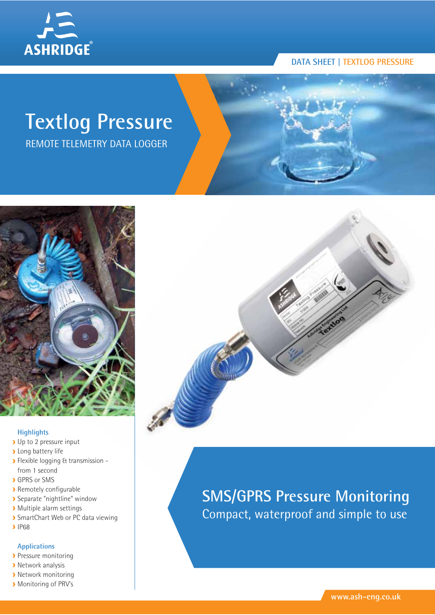

# **Textlog Pressure**

REMOTE TELEMETRY DATA LOGGER



#### **Highlights**

- Up to 2 pressure input
- **Long battery life**
- Flexible logging & transmission from 1 second
- **GPRS** or SMS
- Remotely configurable
- Separate "nightline" window
- Multiple alarm settings
- **>** SmartChart Web or PC data viewing
- $\blacktriangleright$  IP68

#### **Applications**

- **Pressure monitoring**
- **Network analysis**
- **>** Network monitoring
- **Monitoring of PRV's**



# **SMS/GPRS Pressure Monitoring** Compact, waterproof and simple to use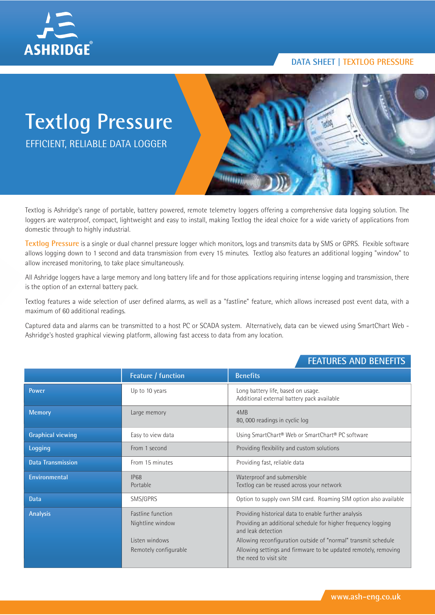

# **Textlog Pressure**

EFFICIENT, RELIABLE DATA LOGGER



Textlog is Ashridge's range of portable, battery powered, remote telemetry loggers offering a comprehensive data logging solution. The loggers are waterproof, compact, lightweight and easy to install, making Textlog the ideal choice for a wide variety of applications from domestic through to highly industrial.

**Textlog Pressure** is a single or dual channel pressure logger which monitors, logs and transmits data by SMS or GPRS. Flexible software allows logging down to 1 second and data transmission from every 15 minutes. Textlog also features an additional logging "window" to allow increased monitoring, to take place simultaneously.

All Ashridge loggers have a large memory and long battery life and for those applications requiring intense logging and transmission, there is the option of an external battery pack.

Textlog features a wide selection of user defined alarms, as well as a "fastline" feature, which allows increased post event data, with a maximum of 60 additional readings.

Captured data and alarms can be transmitted to a host PC or SCADA system. Alternatively, data can be viewed using SmartChart Web - Ashridge's hosted graphical viewing platform, allowing fast access to data from any location.

# **Power Example 20 years** Long battery life, based on usage. Additional external battery pack available **Memory Large memory Large memory Large memory 14MB** 80, 000 readings in cyclic log **Graphical viewing** Easy to view data Using SmartChart® Web or SmartChart® PC software **Logging From 1 second From 1** second **Providing flexibility and custom solutions Data Transmission From 15 minutes** Providing fast, reliable data **Environmental IP68** IP68 Waterproof and submersible Portable Textlog can be reused across your network **Data** SMS/GPRS SMS/GPRS Option to supply own SIM card. Roaming SIM option also available **Analysis Fastline function Providing historical data to enable further analysis Providing historical data to enable further analysis** Nightline window Providing an additional schedule for higher frequency logging and leak detection Listen windows **Allowing reconfiguration outside of "normal"** transmit schedule Remotely configurable **Allowing settings and firmware to be updated remotely, removing** the need to visit site **Feature / function Benefits**

# **FEATURES AND BENEFITS**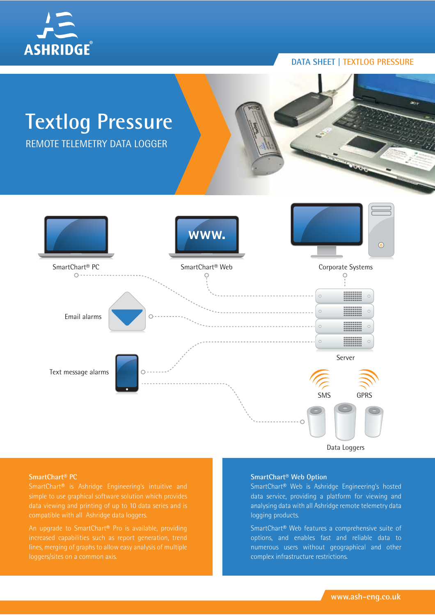



Data Loggers

#### **SmartChart® PC**

An upgrade to SmartChart® Pro is available, providing

#### **SmartChart® Web Option**

SmartChart® Web is Ashridge Engineering's hosted data service, providing a platform for viewing and analysing data with all Ashridge remote telemetry data logging products.

SmartChart® Web features a comprehensive suite of options, and enables fast and reliable data to numerous users without geographical and other complex infrastructure restrictions.